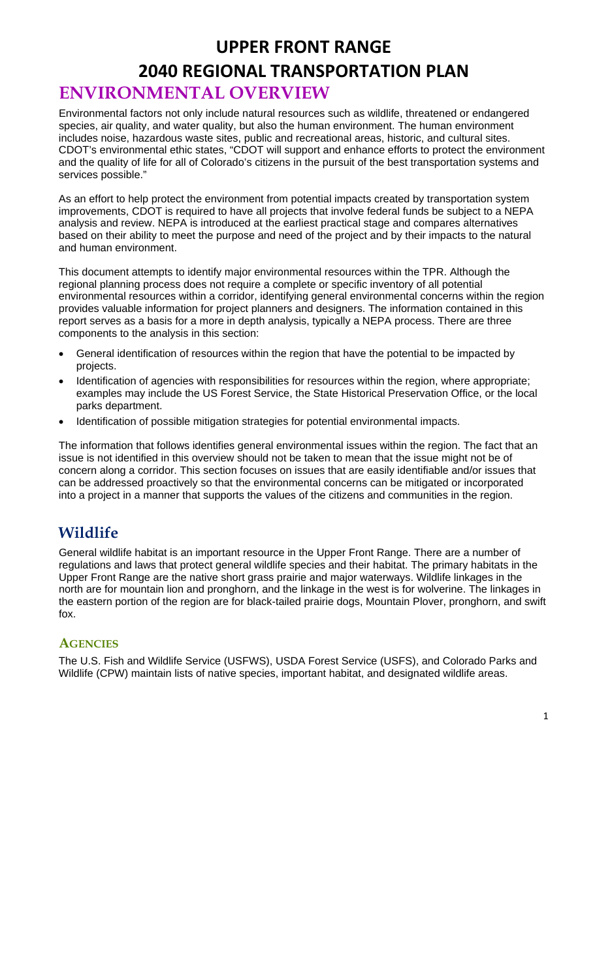# **UPPER FRONT RANGE 2040 REGIONAL TRANSPORTATION PLAN ENVIRONMENTAL OVERVIEW**

Environmental factors not only include natural resources such as wildlife, threatened or endangered species, air quality, and water quality, but also the human environment. The human environment includes noise, hazardous waste sites, public and recreational areas, historic, and cultural sites. CDOT's environmental ethic states, "CDOT will support and enhance efforts to protect the environment and the quality of life for all of Colorado's citizens in the pursuit of the best transportation systems and services possible."

As an effort to help protect the environment from potential impacts created by transportation system improvements, CDOT is required to have all projects that involve federal funds be subject to a NEPA analysis and review. NEPA is introduced at the earliest practical stage and compares alternatives based on their ability to meet the purpose and need of the project and by their impacts to the natural and human environment.

This document attempts to identify major environmental resources within the TPR. Although the regional planning process does not require a complete or specific inventory of all potential environmental resources within a corridor, identifying general environmental concerns within the region provides valuable information for project planners and designers. The information contained in this report serves as a basis for a more in depth analysis, typically a NEPA process. There are three components to the analysis in this section:

- General identification of resources within the region that have the potential to be impacted by projects.
- Identification of agencies with responsibilities for resources within the region, where appropriate; examples may include the US Forest Service, the State Historical Preservation Office, or the local parks department.
- Identification of possible mitigation strategies for potential environmental impacts.

The information that follows identifies general environmental issues within the region. The fact that an issue is not identified in this overview should not be taken to mean that the issue might not be of concern along a corridor. This section focuses on issues that are easily identifiable and/or issues that can be addressed proactively so that the environmental concerns can be mitigated or incorporated into a project in a manner that supports the values of the citizens and communities in the region.

### **Wildlife**

General wildlife habitat is an important resource in the Upper Front Range. There are a number of regulations and laws that protect general wildlife species and their habitat. The primary habitats in the Upper Front Range are the native short grass prairie and major waterways. Wildlife linkages in the north are for mountain lion and pronghorn, and the linkage in the west is for wolverine. The linkages in the eastern portion of the region are for black-tailed prairie dogs, Mountain Plover, pronghorn, and swift fox.

#### **AGENCIES**

The U.S. Fish and Wildlife Service (USFWS), USDA Forest Service (USFS), and Colorado Parks and Wildlife (CPW) maintain lists of native species, important habitat, and designated wildlife areas.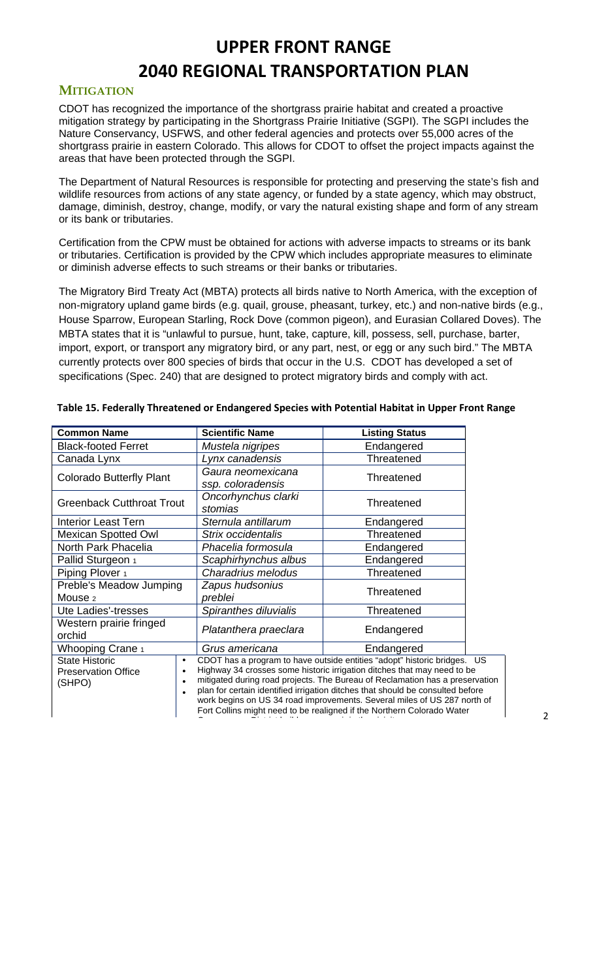#### **MITIGATION**

CDOT has recognized the importance of the shortgrass prairie habitat and created a proactive mitigation strategy by participating in the Shortgrass Prairie Initiative (SGPI). The SGPI includes the Nature Conservancy, USFWS, and other federal agencies and protects over 55,000 acres of the shortgrass prairie in eastern Colorado. This allows for CDOT to offset the project impacts against the areas that have been protected through the SGPI.

The Department of Natural Resources is responsible for protecting and preserving the state's fish and wildlife resources from actions of any state agency, or funded by a state agency, which may obstruct, damage, diminish, destroy, change, modify, or vary the natural existing shape and form of any stream or its bank or tributaries.

Certification from the CPW must be obtained for actions with adverse impacts to streams or its bank or tributaries. Certification is provided by the CPW which includes appropriate measures to eliminate or diminish adverse effects to such streams or their banks or tributaries.

The Migratory Bird Treaty Act (MBTA) protects all birds native to North America, with the exception of non-migratory upland game birds (e.g. quail, grouse, pheasant, turkey, etc.) and non-native birds (e.g., House Sparrow, European Starling, Rock Dove (common pigeon), and Eurasian Collared Doves). The MBTA states that it is "unlawful to pursue, hunt, take, capture, kill, possess, sell, purchase, barter, import, export, or transport any migratory bird, or any part, nest, or egg or any such bird." The MBTA currently protects over 800 species of birds that occur in the U.S. CDOT has developed a set of specifications (Spec. 240) that are designed to protect migratory birds and comply with act.

| <b>Common Name</b>                                            | <b>Scientific Name</b>                                                                                                                                                                                                                                                                                                                                                                                                                                                      | <b>Listing Status</b> |
|---------------------------------------------------------------|-----------------------------------------------------------------------------------------------------------------------------------------------------------------------------------------------------------------------------------------------------------------------------------------------------------------------------------------------------------------------------------------------------------------------------------------------------------------------------|-----------------------|
| <b>Black-footed Ferret</b>                                    | Mustela nigripes                                                                                                                                                                                                                                                                                                                                                                                                                                                            | Endangered            |
| Canada Lynx                                                   | Lynx canadensis                                                                                                                                                                                                                                                                                                                                                                                                                                                             | Threatened            |
| <b>Colorado Butterfly Plant</b>                               | Gaura neomexicana<br>ssp. coloradensis                                                                                                                                                                                                                                                                                                                                                                                                                                      | Threatened            |
| <b>Greenback Cutthroat Trout</b>                              | Oncorhynchus clarki<br>stomias                                                                                                                                                                                                                                                                                                                                                                                                                                              | Threatened            |
| <b>Interior Least Tern</b>                                    | Sternula antillarum                                                                                                                                                                                                                                                                                                                                                                                                                                                         | Endangered            |
| <b>Mexican Spotted Owl</b>                                    | Strix occidentalis                                                                                                                                                                                                                                                                                                                                                                                                                                                          | Threatened            |
| North Park Phacelia                                           | Phacelia formosula                                                                                                                                                                                                                                                                                                                                                                                                                                                          | Endangered            |
| Pallid Sturgeon 1                                             | Scaphirhynchus albus                                                                                                                                                                                                                                                                                                                                                                                                                                                        | Endangered            |
| Piping Plover 1                                               | Charadrius melodus                                                                                                                                                                                                                                                                                                                                                                                                                                                          | Threatened            |
| Preble's Meadow Jumping<br>Mouse <sub>2</sub>                 | Zapus hudsonius<br>preblei                                                                                                                                                                                                                                                                                                                                                                                                                                                  | Threatened            |
| Ute Ladies'-tresses                                           | Spiranthes diluvialis                                                                                                                                                                                                                                                                                                                                                                                                                                                       | Threatened            |
| Western prairie fringed<br>orchid                             | Platanthera praeclara                                                                                                                                                                                                                                                                                                                                                                                                                                                       | Endangered            |
| Whooping Crane 1                                              | Grus americana                                                                                                                                                                                                                                                                                                                                                                                                                                                              | Endangered            |
| <b>State Historic</b><br><b>Preservation Office</b><br>(SHPO) | CDOT has a program to have outside entities "adopt" historic bridges. US<br>Highway 34 crosses some historic irrigation ditches that may need to be<br>mitigated during road projects. The Bureau of Reclamation has a preservation<br>plan for certain identified irrigation ditches that should be consulted before<br>work begins on US 34 road improvements. Several miles of US 287 north of<br>Fort Collins might need to be realigned if the Northern Colorado Water |                       |

C Di t i t b ild i i th i i it

#### **Table 15. Federally Threatened or Endangered Species with Potential Habitat in Upper Front Range**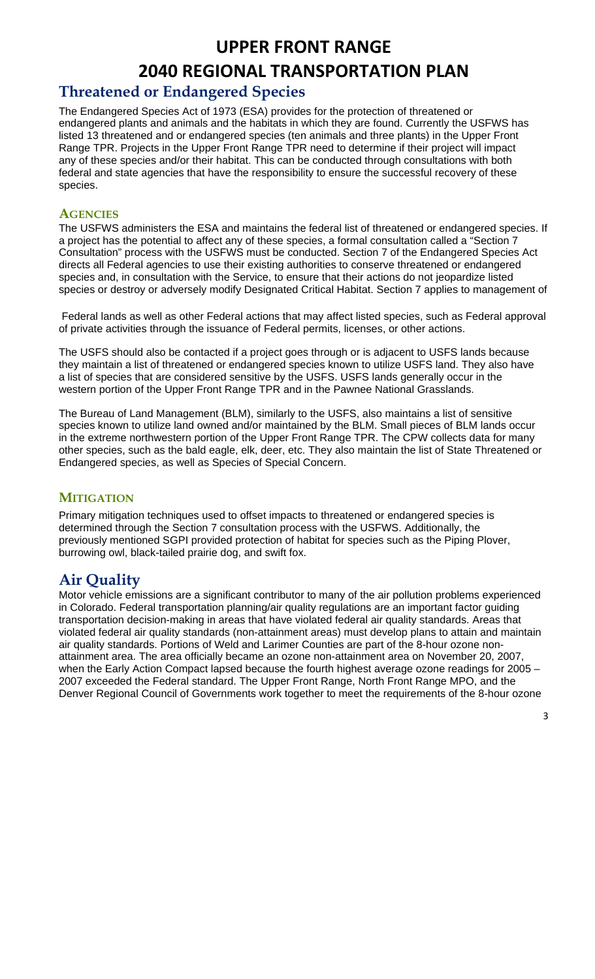## **UPPER FRONT RANGE**

# **2040 REGIONAL TRANSPORTATION PLAN**

## **Threatened or Endangered Species**

The Endangered Species Act of 1973 (ESA) provides for the protection of threatened or endangered plants and animals and the habitats in which they are found. Currently the USFWS has listed 13 threatened and or endangered species (ten animals and three plants) in the Upper Front Range TPR. Projects in the Upper Front Range TPR need to determine if their project will impact any of these species and/or their habitat. This can be conducted through consultations with both federal and state agencies that have the responsibility to ensure the successful recovery of these species.

#### **AGENCIES**

The USFWS administers the ESA and maintains the federal list of threatened or endangered species. If a project has the potential to affect any of these species, a formal consultation called a "Section 7 Consultation" process with the USFWS must be conducted. Section 7 of the Endangered Species Act directs all Federal agencies to use their existing authorities to conserve threatened or endangered species and, in consultation with the Service, to ensure that their actions do not jeopardize listed species or destroy or adversely modify Designated Critical Habitat. Section 7 applies to management of

 Federal lands as well as other Federal actions that may affect listed species, such as Federal approval of private activities through the issuance of Federal permits, licenses, or other actions.

The USFS should also be contacted if a project goes through or is adjacent to USFS lands because they maintain a list of threatened or endangered species known to utilize USFS land. They also have a list of species that are considered sensitive by the USFS. USFS lands generally occur in the western portion of the Upper Front Range TPR and in the Pawnee National Grasslands.

The Bureau of Land Management (BLM), similarly to the USFS, also maintains a list of sensitive species known to utilize land owned and/or maintained by the BLM. Small pieces of BLM lands occur in the extreme northwestern portion of the Upper Front Range TPR. The CPW collects data for many other species, such as the bald eagle, elk, deer, etc. They also maintain the list of State Threatened or Endangered species, as well as Species of Special Concern.

#### **MITIGATION**

Primary mitigation techniques used to offset impacts to threatened or endangered species is determined through the Section 7 consultation process with the USFWS. Additionally, the previously mentioned SGPI provided protection of habitat for species such as the Piping Plover, burrowing owl, black-tailed prairie dog, and swift fox.

## **Air Quality**

Motor vehicle emissions are a significant contributor to many of the air pollution problems experienced in Colorado. Federal transportation planning/air quality regulations are an important factor guiding transportation decision-making in areas that have violated federal air quality standards. Areas that violated federal air quality standards (non-attainment areas) must develop plans to attain and maintain air quality standards. Portions of Weld and Larimer Counties are part of the 8-hour ozone nonattainment area. The area officially became an ozone non-attainment area on November 20, 2007, when the Early Action Compact lapsed because the fourth highest average ozone readings for 2005 – 2007 exceeded the Federal standard. The Upper Front Range, North Front Range MPO, and the Denver Regional Council of Governments work together to meet the requirements of the 8-hour ozone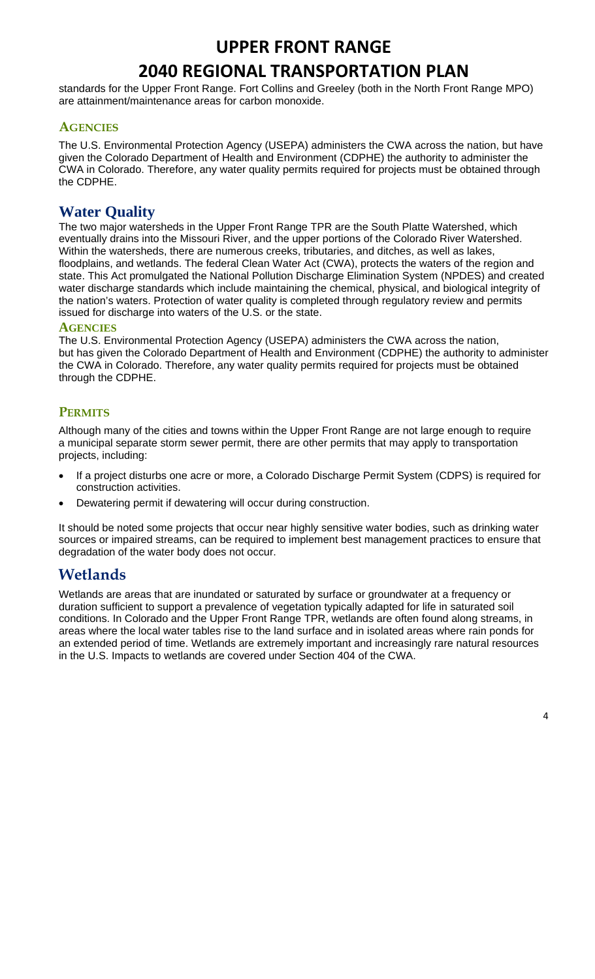**UPPER FRONT RANGE**

# **2040 REGIONAL TRANSPORTATION PLAN**

standards for the Upper Front Range. Fort Collins and Greeley (both in the North Front Range MPO) are attainment/maintenance areas for carbon monoxide.

#### **AGENCIES**

The U.S. Environmental Protection Agency (USEPA) administers the CWA across the nation, but have given the Colorado Department of Health and Environment (CDPHE) the authority to administer the CWA in Colorado. Therefore, any water quality permits required for projects must be obtained through the CDPHE.

### **Water Quality**

The two major watersheds in the Upper Front Range TPR are the South Platte Watershed, which eventually drains into the Missouri River, and the upper portions of the Colorado River Watershed. Within the watersheds, there are numerous creeks, tributaries, and ditches, as well as lakes, floodplains, and wetlands. The federal Clean Water Act (CWA), protects the waters of the region and state. This Act promulgated the National Pollution Discharge Elimination System (NPDES) and created water discharge standards which include maintaining the chemical, physical, and biological integrity of the nation's waters. Protection of water quality is completed through regulatory review and permits issued for discharge into waters of the U.S. or the state.

#### **AGENCIES**

The U.S. Environmental Protection Agency (USEPA) administers the CWA across the nation, but has given the Colorado Department of Health and Environment (CDPHE) the authority to administer the CWA in Colorado. Therefore, any water quality permits required for projects must be obtained through the CDPHE.

#### **PERMITS**

Although many of the cities and towns within the Upper Front Range are not large enough to require a municipal separate storm sewer permit, there are other permits that may apply to transportation projects, including:

- If a project disturbs one acre or more, a Colorado Discharge Permit System (CDPS) is required for construction activities.
- Dewatering permit if dewatering will occur during construction.

It should be noted some projects that occur near highly sensitive water bodies, such as drinking water sources or impaired streams, can be required to implement best management practices to ensure that degradation of the water body does not occur.

## **Wetlands**

Wetlands are areas that are inundated or saturated by surface or groundwater at a frequency or duration sufficient to support a prevalence of vegetation typically adapted for life in saturated soil conditions. In Colorado and the Upper Front Range TPR, wetlands are often found along streams, in areas where the local water tables rise to the land surface and in isolated areas where rain ponds for an extended period of time. Wetlands are extremely important and increasingly rare natural resources in the U.S. Impacts to wetlands are covered under Section 404 of the CWA.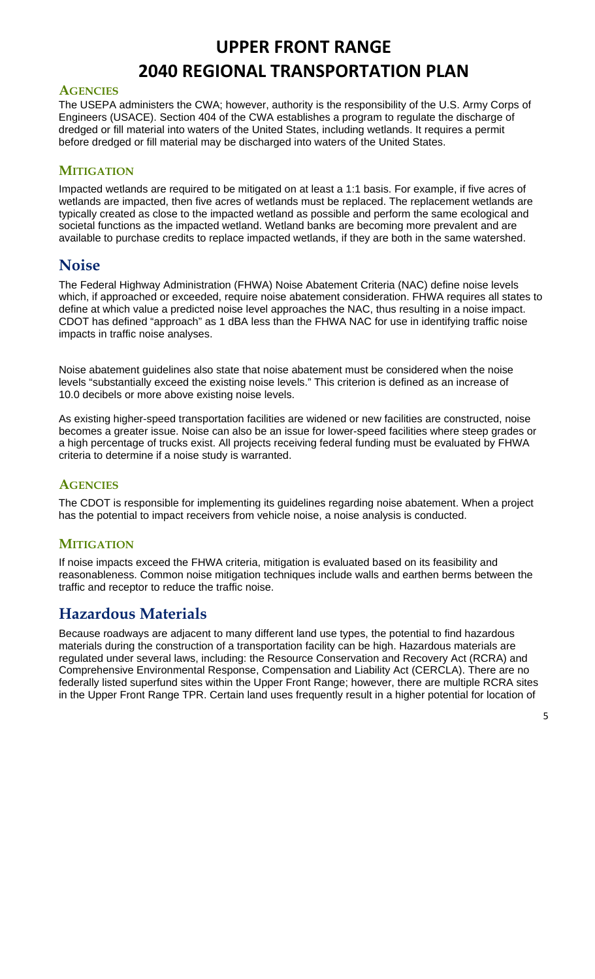#### **AGENCIES**

The USEPA administers the CWA; however, authority is the responsibility of the U.S. Army Corps of Engineers (USACE). Section 404 of the CWA establishes a program to regulate the discharge of dredged or fill material into waters of the United States, including wetlands. It requires a permit before dredged or fill material may be discharged into waters of the United States.

#### **MITIGATION**

Impacted wetlands are required to be mitigated on at least a 1:1 basis. For example, if five acres of wetlands are impacted, then five acres of wetlands must be replaced. The replacement wetlands are typically created as close to the impacted wetland as possible and perform the same ecological and societal functions as the impacted wetland. Wetland banks are becoming more prevalent and are available to purchase credits to replace impacted wetlands, if they are both in the same watershed.

## **Noise**

The Federal Highway Administration (FHWA) Noise Abatement Criteria (NAC) define noise levels which, if approached or exceeded, require noise abatement consideration. FHWA requires all states to define at which value a predicted noise level approaches the NAC, thus resulting in a noise impact. CDOT has defined "approach" as 1 dBA less than the FHWA NAC for use in identifying traffic noise impacts in traffic noise analyses.

Noise abatement guidelines also state that noise abatement must be considered when the noise levels "substantially exceed the existing noise levels." This criterion is defined as an increase of 10.0 decibels or more above existing noise levels.

As existing higher-speed transportation facilities are widened or new facilities are constructed, noise becomes a greater issue. Noise can also be an issue for lower-speed facilities where steep grades or a high percentage of trucks exist. All projects receiving federal funding must be evaluated by FHWA criteria to determine if a noise study is warranted.

#### **AGENCIES**

The CDOT is responsible for implementing its guidelines regarding noise abatement. When a project has the potential to impact receivers from vehicle noise, a noise analysis is conducted.

#### **MITIGATION**

If noise impacts exceed the FHWA criteria, mitigation is evaluated based on its feasibility and reasonableness. Common noise mitigation techniques include walls and earthen berms between the traffic and receptor to reduce the traffic noise.

## **Hazardous Materials**

Because roadways are adjacent to many different land use types, the potential to find hazardous materials during the construction of a transportation facility can be high. Hazardous materials are regulated under several laws, including: the Resource Conservation and Recovery Act (RCRA) and Comprehensive Environmental Response, Compensation and Liability Act (CERCLA). There are no federally listed superfund sites within the Upper Front Range; however, there are multiple RCRA sites in the Upper Front Range TPR. Certain land uses frequently result in a higher potential for location of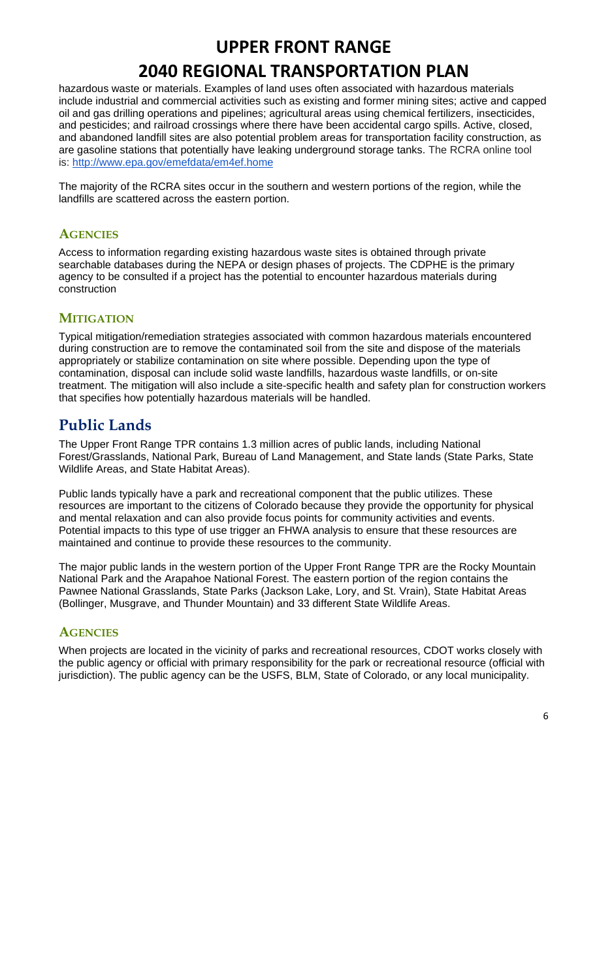# **UPPER FRONT RANGE**

# **2040 REGIONAL TRANSPORTATION PLAN**

hazardous waste or materials. Examples of land uses often associated with hazardous materials include industrial and commercial activities such as existing and former mining sites; active and capped oil and gas drilling operations and pipelines; agricultural areas using chemical fertilizers, insecticides, and pesticides; and railroad crossings where there have been accidental cargo spills. Active, closed, and abandoned landfill sites are also potential problem areas for transportation facility construction, as are gasoline stations that potentially have leaking underground storage tanks. The RCRA online tool is: http://www.epa.gov/emefdata/em4ef.home

The majority of the RCRA sites occur in the southern and western portions of the region, while the landfills are scattered across the eastern portion.

#### **AGENCIES**

Access to information regarding existing hazardous waste sites is obtained through private searchable databases during the NEPA or design phases of projects. The CDPHE is the primary agency to be consulted if a project has the potential to encounter hazardous materials during construction

#### **MITIGATION**

Typical mitigation/remediation strategies associated with common hazardous materials encountered during construction are to remove the contaminated soil from the site and dispose of the materials appropriately or stabilize contamination on site where possible. Depending upon the type of contamination, disposal can include solid waste landfills, hazardous waste landfills, or on-site treatment. The mitigation will also include a site-specific health and safety plan for construction workers that specifies how potentially hazardous materials will be handled.

## **Public Lands**

The Upper Front Range TPR contains 1.3 million acres of public lands, including National Forest/Grasslands, National Park, Bureau of Land Management, and State lands (State Parks, State Wildlife Areas, and State Habitat Areas).

Public lands typically have a park and recreational component that the public utilizes. These resources are important to the citizens of Colorado because they provide the opportunity for physical and mental relaxation and can also provide focus points for community activities and events. Potential impacts to this type of use trigger an FHWA analysis to ensure that these resources are maintained and continue to provide these resources to the community.

The major public lands in the western portion of the Upper Front Range TPR are the Rocky Mountain National Park and the Arapahoe National Forest. The eastern portion of the region contains the Pawnee National Grasslands, State Parks (Jackson Lake, Lory, and St. Vrain), State Habitat Areas (Bollinger, Musgrave, and Thunder Mountain) and 33 different State Wildlife Areas.

#### **AGENCIES**

When projects are located in the vicinity of parks and recreational resources, CDOT works closely with the public agency or official with primary responsibility for the park or recreational resource (official with jurisdiction). The public agency can be the USFS, BLM, State of Colorado, or any local municipality.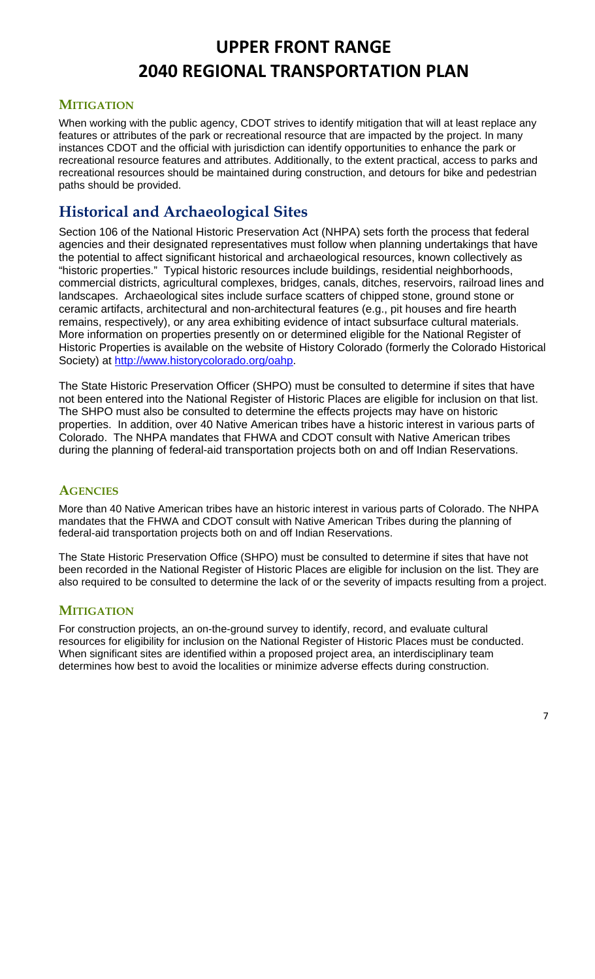#### **MITIGATION**

When working with the public agency, CDOT strives to identify mitigation that will at least replace any features or attributes of the park or recreational resource that are impacted by the project. In many instances CDOT and the official with jurisdiction can identify opportunities to enhance the park or recreational resource features and attributes. Additionally, to the extent practical, access to parks and recreational resources should be maintained during construction, and detours for bike and pedestrian paths should be provided.

## **Historical and Archaeological Sites**

Section 106 of the National Historic Preservation Act (NHPA) sets forth the process that federal agencies and their designated representatives must follow when planning undertakings that have the potential to affect significant historical and archaeological resources, known collectively as "historic properties." Typical historic resources include buildings, residential neighborhoods, commercial districts, agricultural complexes, bridges, canals, ditches, reservoirs, railroad lines and landscapes. Archaeological sites include surface scatters of chipped stone, ground stone or ceramic artifacts, architectural and non-architectural features (e.g., pit houses and fire hearth remains, respectively), or any area exhibiting evidence of intact subsurface cultural materials. More information on properties presently on or determined eligible for the National Register of Historic Properties is available on the website of History Colorado (formerly the Colorado Historical Society) at http://www.historycolorado.org/oahp.

The State Historic Preservation Officer (SHPO) must be consulted to determine if sites that have not been entered into the National Register of Historic Places are eligible for inclusion on that list. The SHPO must also be consulted to determine the effects projects may have on historic properties. In addition, over 40 Native American tribes have a historic interest in various parts of Colorado. The NHPA mandates that FHWA and CDOT consult with Native American tribes during the planning of federal-aid transportation projects both on and off Indian Reservations.

#### **AGENCIES**

More than 40 Native American tribes have an historic interest in various parts of Colorado. The NHPA mandates that the FHWA and CDOT consult with Native American Tribes during the planning of federal-aid transportation projects both on and off Indian Reservations.

The State Historic Preservation Office (SHPO) must be consulted to determine if sites that have not been recorded in the National Register of Historic Places are eligible for inclusion on the list. They are also required to be consulted to determine the lack of or the severity of impacts resulting from a project.

#### **MITIGATION**

For construction projects, an on-the-ground survey to identify, record, and evaluate cultural resources for eligibility for inclusion on the National Register of Historic Places must be conducted. When significant sites are identified within a proposed project area, an interdisciplinary team determines how best to avoid the localities or minimize adverse effects during construction.